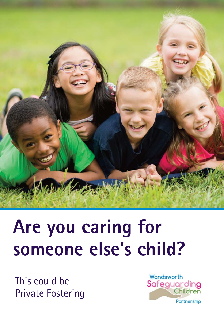

# **Are you caring for someone else's child?**

This could be Private Fostering

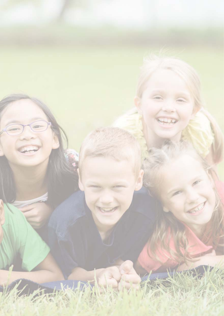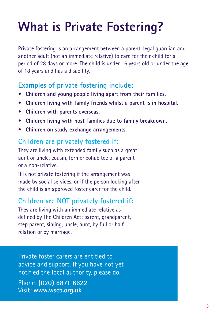## **What is Private Fostering?**

Private fostering is an arrangement between a parent, legal guardian and another adult (not an immediate relative) to care for their child for a period of 28 days or more. The child is under 16 years old or under the age of 18 years and has a disability.

### **Examples of private fostering include:**

- **Children and young people living apart from their families.**
- **Children living with family friends whilst a parent is in hospital.**
- **Children with parents overseas.**
- **Children living with host families due to family breakdown.**
- **Children on study exchange arrangements.**

### **Children are privately fostered if:**

They are living with extended family such as a great aunt or uncle, cousin, former cohabitee of a parent or a non-relative.

It is not private fostering if the arrangement was made by social services, or if the person looking after the child is an approved foster carer for the child.

### **Children are NOT privately fostered if:**

They are living with an immediate relative as defined by The Children Act: parent, grandparent, step parent, sibling, uncle, aunt, by full or half relation or by marriage.

Private foster carers are entitled to advice and support. If you have not yet notified the local authority, please do.

Phone: **(020) 8871 6622** Visit: **www.wscb.org.uk**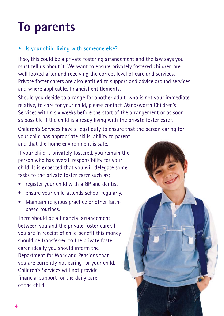## **To parents**

### **• Is your child living with someone else?**

If so, this could be a private fostering arrangement and the law says you must tell us about it. We want to ensure privately fostered children are well looked after and receiving the correct level of care and services. Private foster carers are also entitled to support and advice around services and where applicable, financial entitlements.

Should you decide to arrange for another adult, who is not your immediate relative, to care for your child, please contact Wandsworth Children's Services within six weeks before the start of the arrangement or as soon as possible if the child is already living with the private foster carer.

Children's Services have a legal duty to ensure that the person caring for your child has appropriate skills, ability to parent and that the home environment is safe.

If your child is privately fostered, you remain the person who has overall responsibility for your child. It is expected that you will delegate some tasks to the private foster carer such as;

- register your child with a GP and dentist
- ensure your child attends school regularly.
- Maintain religious practice or other faithbased routines.

There should be a financial arrangement between you and the private foster carer. If you are in receipt of child benefit this money should be transferred to the private foster carer, ideally you should inform the Department for Work and Pensions that you are currently not caring for your child. Children's Services will not provide financial support for the daily care of the child.

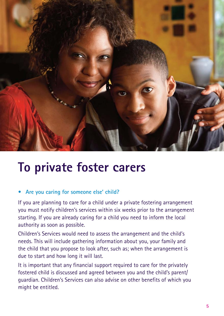

## **To private foster carers**

### **• Are you caring for someone else' child?**

If you are planning to care for a child under a private fostering arrangement you must notify children's services within six weeks prior to the arrangement starting. If you are already caring for a child you need to inform the local authority as soon as possible.

Children's Services would need to assess the arrangement and the child's needs. This will include gathering information about you, your family and the child that you propose to look after, such as; when the arrangement is due to start and how long it will last.

It is important that any financial support required to care for the privately fostered child is discussed and agreed between you and the child's parent/ guardian. Children's Services can also advise on other benefits of which you might be entitled.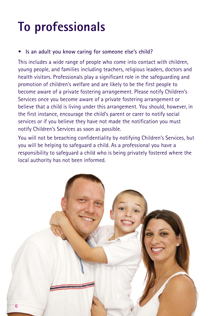## **To professionals**

### **• Is an adult you know caring for someone else's child?**

This includes a wide range of people who come into contact with children, young people, and families including teachers, religious leaders, doctors and health visitors. Professionals play a significant role in the safeguarding and promotion of children's welfare and are likely to be the first people to become aware of a private fostering arrangement. Please notify Children's Services once you become aware of a private fostering arrangement or believe that a child is living under this arrangement. You should, however, in the first instance, encourage the child's parent or carer to notify social services or if you believe they have not made the notification you must notify Children's Services as soon as possible.

You will not be breaching confidentiality by notifying Children's Services, but you will be helping to safeguard a child. As a professional you have a responsibility to safeguard a child who is being privately fostered where the local authority has not been informed.

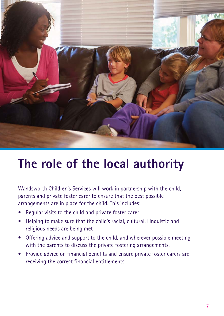

## **The role of the local authority**

Wandsworth Children's Services will work in partnership with the child, parents and private foster carer to ensure that the best possible arrangements are in place for the child. This includes:

- Regular visits to the child and private foster carer
- Helping to make sure that the child's racial, cultural, Linguistic and religious needs are being met
- Offering advice and support to the child, and wherever possible meeting with the parents to discuss the private fostering arrangements.
- Provide advice on financial benefits and ensure private foster carers are receiving the correct financial entitlements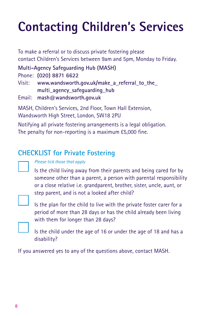## **Contacting Children's Services**

To make a referral or to discuss private fostering please contact Children's Services between 9am and 5pm, Monday to Friday.

**Multi-Agency Safeguarding Hub (MASH)**

Phone: **(020) 8871 6622**

Visit: **www.wandsworth.gov.uk/make\_a\_referral\_to\_the\_ multi\_agency\_safeguarding\_hub**

Email: **mash@wandsworth.gov.uk**

MASH, Children's Services, 2nd Floor, Town Hall Extension, Wandsworth High Street, London, SW18 2PU

Notifying all private fostering arrangements is a legal obligation. The penalty for non-reporting is a maximum £5,000 fine.

## **CHECKLIST for Private Fostering**

*Please tick those that apply*

Is the child living away from their parents and being cared for by someone other than a parent, a person with parental responsibility or a close relative i.e. grandparent, brother, sister, uncle, aunt, or step parent, and is not a looked after child?

Is the plan for the child to live with the private foster carer for a period of more than 28 days or has the child already been living with them for longer than 28 days?

Is the child under the age of 16 or under the age of 18 and has a disability?

If you answered yes to any of the questions above, contact MASH.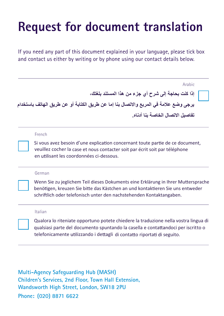## **Request for document translation**

If you need any part of this document explained in your language, please tick box and contact us either by writing or by phone using our contact details below.

| Arabic                                                                               |
|--------------------------------------------------------------------------------------|
| إذا كنت بحاجة إلى شرح أي جزء من هذا المستند بلغتك،                                   |
| يرجى وضع علامة في المربع والاتصال بنا إما عن طريق الكتابة أو عن طريق الهاتف باستخدام |
| تفاصيل الاتصال الخاصة بنا أدناه                                                      |

#### French

Si vous avez besoin d'une explication concernant toute partie de ce document. veuillez cocher la case et nous contacter soit par écrit soit par téléphone en utilisant les coordonnées ci-dessous.

#### German

Wenn Sie zu jeglichem Teil dieses Dokuments eine Erklärung in Ihrer Muttersprache benötigen, kreuzen Sie bitte das Kästchen an und kontaktieren Sie uns entweder schriftlich oder telefonisch unter den nachstehenden Kontaktangaben.

#### Italian

Qualora lo riteniate opportuno potete chiedere la traduzione nella vostra lingua di qualsiasi parte del documento spuntando la casella e contattandoci per iscritto o telefonicamente utilizzando i dettagli di contatto riportati di seguito.

**Multi-Agency Safeguarding Hub (MASH) Children's Services, 2nd Floor, Town Hall Extension, Wandsworth High Street, London, SW18 2PU Phone: (020) 8871 6622**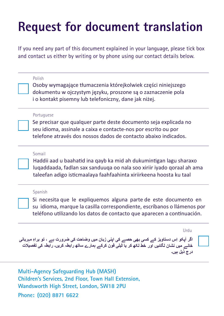## **Request for document translation**

If you need any part of this document explained in your language, please tick box and contact us either by writing or by phone using our contact details below.

#### Polish

Osoby wymagające tłumaczenia którejkolwiek części niniejszego dokumentu w ojczystym języku, proszone są o zaznaczenie pola i o kontakt pisemny lub telefoniczny, dane jak niżej.

#### Portuguese

Se precisar que qualquer parte deste documento seja explicada no seu idioma, assinale a caixa e contacte-nos por escrito ou por telefone através dos nossos dados de contacto abaixo indicados.

#### Somail

Haddii aad u baahatid ina qayb ka mid ah dukumintigan lagu sharaxo luqaddaada, fadlan sax sanduuqa oo nala soo xiriir iyado qoraal ah ama taleefan adigo isticmaalaya faahfaahinta xiriirkeena hoosta ku taal

#### Spanish

Si necesita que le expliquemos alguna parte de este documento en su idioma, marque la casilla correspondiente, escríbanos o llámenos por teléfono utilizando los datos de contacto que aparecen a continuación.

Urdu

اگر آپکو اِس دستاویز کے کسی بھی حصے کی اپنی زبان میں وضاحت کی ضرورت ہے ، تو براہِ مہربانی خانے میں نشان لگائیں اور خط لکھ کر یا ٹیلی فون کرکے ہمارے ساتھ رابطہ کریں۔ رابطہ کی تفصیلات **درج ڏيل ٻين۔** 

**Multi-Agency Safeguarding Hub (MASH) Children's Services, 2nd Floor, Town Hall Extension, Wandsworth High Street, London, SW18 2PU Phone: (020) 8871 6622**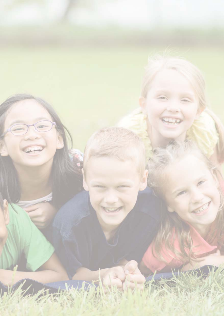